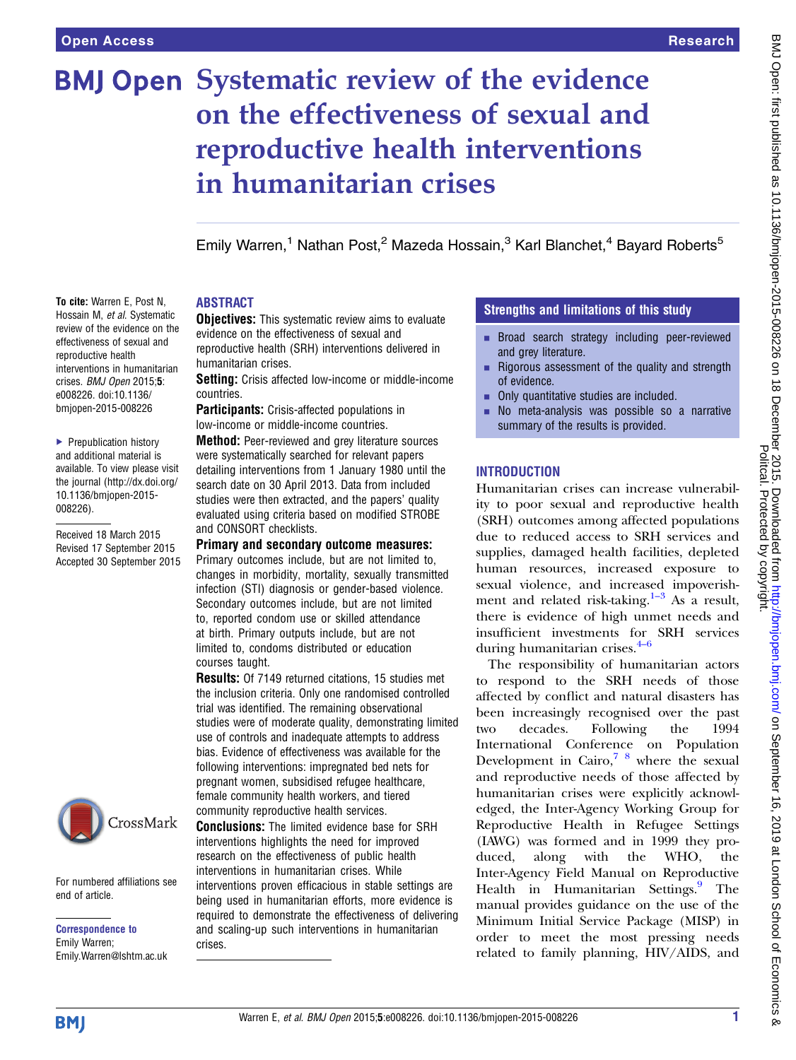# **BMJ Open Systematic review of the evidence** on the effectiveness of sexual and reproductive health interventions in humanitarian crises

Emily Warren,<sup>1</sup> Nathan Post,<sup>2</sup> Mazeda Hossain,<sup>3</sup> Karl Blanchet,<sup>4</sup> Bayard Roberts<sup>5</sup>

# ABSTRACT

To cite: Warren E, Post N, Hossain M, et al. Systematic review of the evidence on the effectiveness of sexual and reproductive health interventions in humanitarian crises. BMJ Open 2015:5: e008226. doi:10.1136/ bmjopen-2015-008226

▶ Prepublication history and additional material is available. To view please visit the journal [\(http://dx.doi.org/](http://dx.doi.org/10.1136/bmjopen-2015-008226) [10.1136/bmjopen-2015-](http://dx.doi.org/10.1136/bmjopen-2015-008226) [008226\)](http://dx.doi.org/10.1136/bmjopen-2015-008226).

Received 18 March 2015 Revised 17 September 2015 Accepted 30 September 2015



For numbered affiliations see end of article.

Correspondence to Emily Warren; Emily.Warren@lshtm.ac.uk **Objectives:** This systematic review aims to evaluate evidence on the effectiveness of sexual and reproductive health (SRH) interventions delivered in humanitarian crises.

Setting: Crisis affected low-income or middle-income countries.

Participants: Crisis-affected populations in low-income or middle-income countries.

Method: Peer-reviewed and grey literature sources were systematically searched for relevant papers detailing interventions from 1 January 1980 until the search date on 30 April 2013. Data from included studies were then extracted, and the papers' quality evaluated using criteria based on modified STROBE and CONSORT checklists.

#### Primary and secondary outcome measures:

Primary outcomes include, but are not limited to, changes in morbidity, mortality, sexually transmitted infection (STI) diagnosis or gender-based violence. Secondary outcomes include, but are not limited to, reported condom use or skilled attendance at birth. Primary outputs include, but are not limited to, condoms distributed or education courses taught.

Results: Of 7149 returned citations, 15 studies met the inclusion criteria. Only one randomised controlled trial was identified. The remaining observational studies were of moderate quality, demonstrating limited use of controls and inadequate attempts to address bias. Evidence of effectiveness was available for the following interventions: impregnated bed nets for pregnant women, subsidised refugee healthcare, female community health workers, and tiered community reproductive health services.

Conclusions: The limited evidence base for SRH interventions highlights the need for improved research on the effectiveness of public health interventions in humanitarian crises. While interventions proven efficacious in stable settings are being used in humanitarian efforts, more evidence is required to demonstrate the effectiveness of delivering and scaling-up such interventions in humanitarian crises.

# Strengths and limitations of this study

- **E** Broad search strategy including peer-reviewed and grey literature.
- $\blacksquare$  Rigorous assessment of the quality and strength of evidence.
- Only quantitative studies are included.
- **E** No meta-analysis was possible so a narrative summary of the results is provided.

# **INTRODUCTION**

Humanitarian crises can increase vulnerability to poor sexual and reproductive health (SRH) outcomes among affected populations due to reduced access to SRH services and supplies, damaged health facilities, depleted human resources, increased exposure to sexual violence, and increa[sed](#page-7-0) impoverishment and related risk-taking. $1-3$  As a result, there is evidence of high unmet needs and insufficient investments f[or](#page-7-0) SRH services during humanitarian crises.<sup>4-6</sup>

The responsibility of humanitarian actors to respond to the SRH needs of those affected by conflict and natural disasters has been increasingly recognised over the past two decades. Following the 1994 International Conference on Population Development in Cairo, $78$  where the sexual and reproductive needs of those affected by humanitarian crises were explicitly acknowledged, the Inter-Agency Working Group for Reproductive Health in Refugee Settings (IAWG) was formed and in 1999 they produced, along with the WHO, the Inter-Agency Field Manual on Reproductive Health in Humanitarian Settings.<sup>[9](#page-7-0)</sup> The manual provides guidance on the use of the Minimum Initial Service Package (MISP) in order to meet the most pressing needs related to family planning, HIV/AIDS, and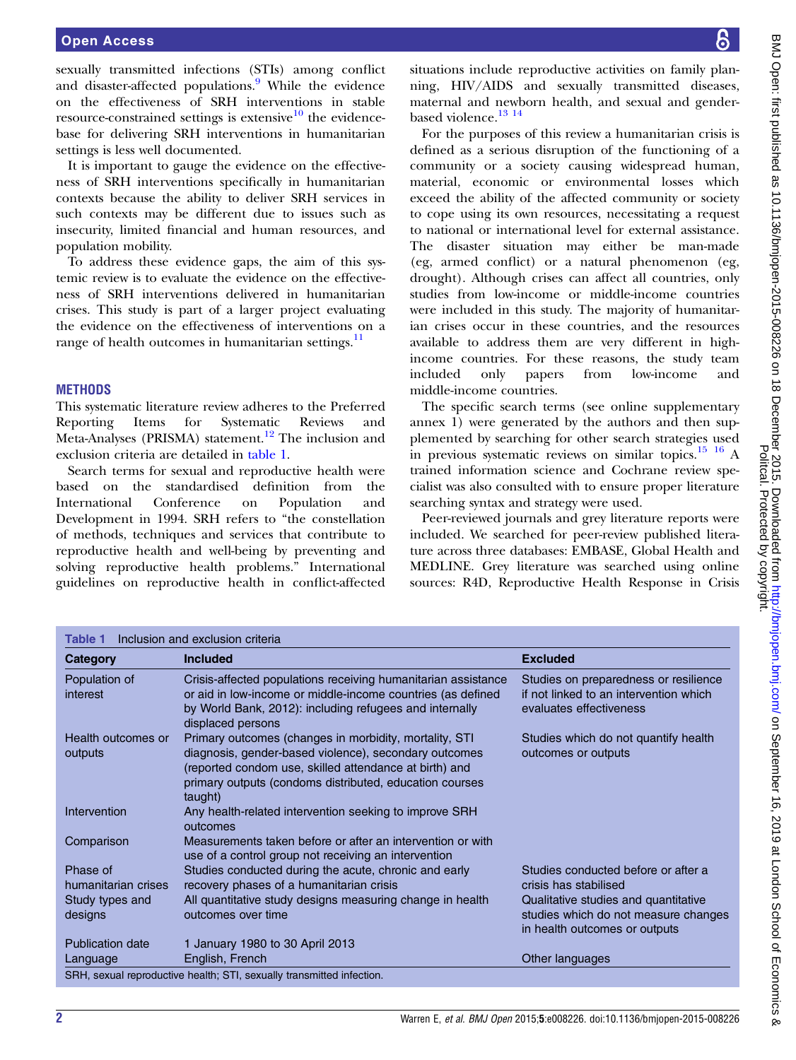<span id="page-1-0"></span>sexually transmitted infections (STIs) among conflict and disaster-affected populations.<sup>[9](#page-7-0)</sup> While the evidence on the effectiveness of SRH interventions in stable resource-constrained settings is extensive $10$  the evidencebase for delivering SRH interventions in humanitarian settings is less well documented.

It is important to gauge the evidence on the effectiveness of SRH interventions specifically in humanitarian contexts because the ability to deliver SRH services in such contexts may be different due to issues such as insecurity, limited financial and human resources, and population mobility.

To address these evidence gaps, the aim of this systemic review is to evaluate the evidence on the effectiveness of SRH interventions delivered in humanitarian crises. This study is part of a larger project evaluating the evidence on the effectiveness of interventions on a range of health outcomes in humanitarian settings. $^{11}$  $^{11}$  $^{11}$ 

### **MFTHODS**

This systematic literature review adheres to the Preferred<br>Reporting Items for Systematic Reviews and Reporting Items for Systematic Reviews and Meta-Analyses (PRISMA) statement.<sup>[12](#page-7-0)</sup> The inclusion and exclusion criteria are detailed in table 1.

Search terms for sexual and reproductive health were based on the standardised definition from the International Conference on Population and Development in 1994. SRH refers to "the constellation of methods, techniques and services that contribute to reproductive health and well-being by preventing and solving reproductive health problems." International guidelines on reproductive health in conflict-affected

 $\infty$ 

situations include reproductive activities on family planning, HIV/AIDS and sexually transmitted diseases, maternal and newborn health, and sexual and genderbased violence.<sup>13</sup> <sup>14</sup>

For the purposes of this review a humanitarian crisis is defined as a serious disruption of the functioning of a community or a society causing widespread human, material, economic or environmental losses which exceed the ability of the affected community or society to cope using its own resources, necessitating a request to national or international level for external assistance. The disaster situation may either be man-made (eg, armed conflict) or a natural phenomenon (eg, drought). Although crises can affect all countries, only studies from low-income or middle-income countries were included in this study. The majority of humanitarian crises occur in these countries, and the resources available to address them are very different in highincome countries. For these reasons, the study team included only papers from low-income and middle-income countries.

The specific search terms (see online supplementary annex 1) were generated by the authors and then supplemented by searching for other search strategies used in previous systematic reviews on similar topics.[15 16](#page-8-0) A trained information science and Cochrane review specialist was also consulted with to ensure proper literature searching syntax and strategy were used.

Peer-reviewed journals and grey literature reports were included. We searched for peer-review published literature across three databases: EMBASE, Global Health and MEDLINE. Grey literature was searched using online sources: R4D, Reproductive Health Response in Crisis

| Inclusion and exclusion criteria<br>Table 1 |                                                                                                                                                                                                                                                 |                                                                                                               |
|---------------------------------------------|-------------------------------------------------------------------------------------------------------------------------------------------------------------------------------------------------------------------------------------------------|---------------------------------------------------------------------------------------------------------------|
| <b>Category</b>                             | <b>Included</b>                                                                                                                                                                                                                                 | <b>Excluded</b>                                                                                               |
| Population of<br><i>interest</i>            | Crisis-affected populations receiving humanitarian assistance<br>or aid in low-income or middle-income countries (as defined<br>by World Bank, 2012): including refugees and internally<br>displaced persons                                    | Studies on preparedness or resilience<br>if not linked to an intervention which<br>evaluates effectiveness    |
| Health outcomes or<br>outputs               | Primary outcomes (changes in morbidity, mortality, STI<br>diagnosis, gender-based violence), secondary outcomes<br>(reported condom use, skilled attendance at birth) and<br>primary outputs (condoms distributed, education courses<br>taught) | Studies which do not quantify health<br>outcomes or outputs                                                   |
| Intervention                                | Any health-related intervention seeking to improve SRH<br>outcomes                                                                                                                                                                              |                                                                                                               |
| Comparison                                  | Measurements taken before or after an intervention or with<br>use of a control group not receiving an intervention                                                                                                                              |                                                                                                               |
| Phase of<br>humanitarian crises             | Studies conducted during the acute, chronic and early<br>recovery phases of a humanitarian crisis                                                                                                                                               | Studies conducted before or after a<br>crisis has stabilised                                                  |
| Study types and<br>designs                  | All quantitative study designs measuring change in health<br>outcomes over time                                                                                                                                                                 | Qualitative studies and quantitative<br>studies which do not measure changes<br>in health outcomes or outputs |
| <b>Publication date</b>                     | 1 January 1980 to 30 April 2013                                                                                                                                                                                                                 |                                                                                                               |
| Language                                    | English, French                                                                                                                                                                                                                                 | Other languages                                                                                               |
|                                             | SRH, sexual reproductive health; STI, sexually transmitted infection.                                                                                                                                                                           |                                                                                                               |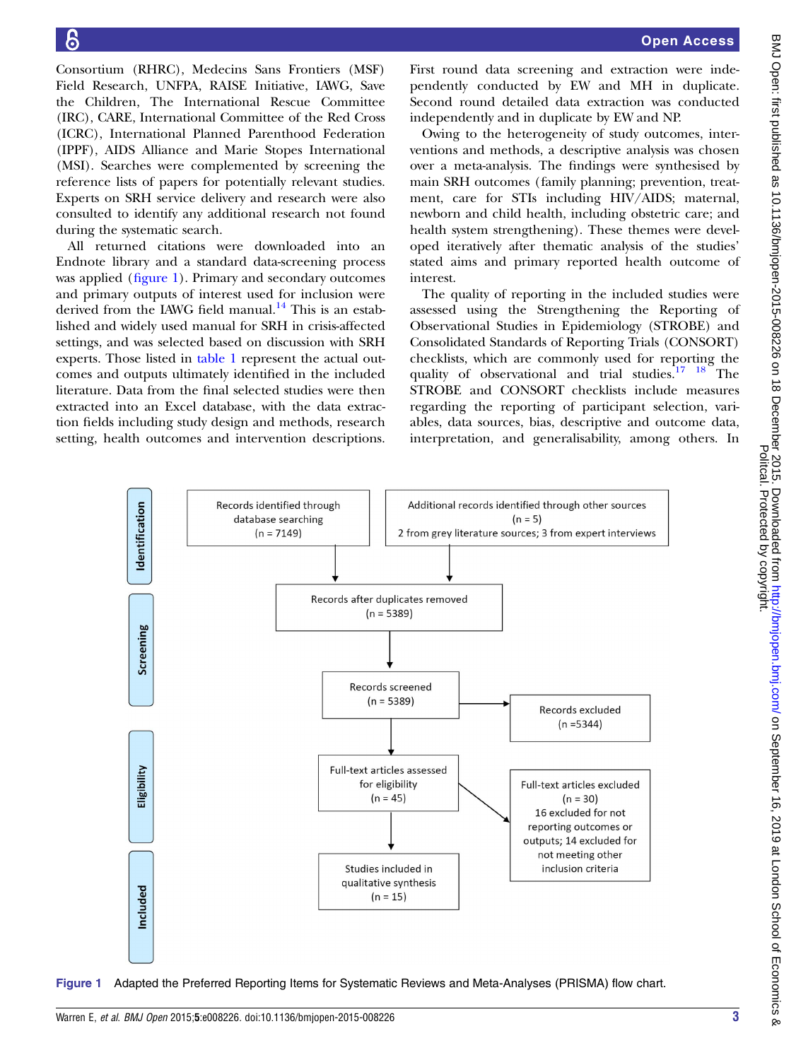Consortium (RHRC), Medecins Sans Frontiers (MSF) Field Research, UNFPA, RAISE Initiative, IAWG, Save the Children, The International Rescue Committee (IRC), CARE, International Committee of the Red Cross (ICRC), International Planned Parenthood Federation (IPPF), AIDS Alliance and Marie Stopes International (MSI). Searches were complemented by screening the reference lists of papers for potentially relevant studies. Experts on SRH service delivery and research were also consulted to identify any additional research not found during the systematic search.

All returned citations were downloaded into an Endnote library and a standard data-screening process was applied (figure 1). Primary and secondary outcomes and primary outputs of interest used for inclusion were derived from the IAWG field manual.<sup>[14](#page-8-0)</sup> This is an established and widely used manual for SRH in crisis-affected settings, and was selected based on discussion with SRH experts. Those listed in [table 1](#page-1-0) represent the actual outcomes and outputs ultimately identified in the included literature. Data from the final selected studies were then extracted into an Excel database, with the data extraction fields including study design and methods, research setting, health outcomes and intervention descriptions.

First round data screening and extraction were independently conducted by EW and MH in duplicate. Second round detailed data extraction was conducted independently and in duplicate by EW and NP.

Owing to the heterogeneity of study outcomes, interventions and methods, a descriptive analysis was chosen over a meta-analysis. The findings were synthesised by main SRH outcomes (family planning; prevention, treatment, care for STIs including HIV/AIDS; maternal, newborn and child health, including obstetric care; and health system strengthening). These themes were developed iteratively after thematic analysis of the studies' stated aims and primary reported health outcome of interest.

The quality of reporting in the included studies were assessed using the Strengthening the Reporting of Observational Studies in Epidemiology (STROBE) and Consolidated Standards of Reporting Trials (CONSORT) checklists, which are commonly used for reporting the quality of observational and trial studies. $17 \text{ } 18 \text{ } ^\circ$  The STROBE and CONSORT checklists include measures regarding the reporting of participant selection, variables, data sources, bias, descriptive and outcome data, interpretation, and generalisability, among others. In



Figure 1 Adapted the Preferred Reporting Items for Systematic Reviews and Meta-Analyses (PRISMA) flow chart.

Politcal. Protected by copyright.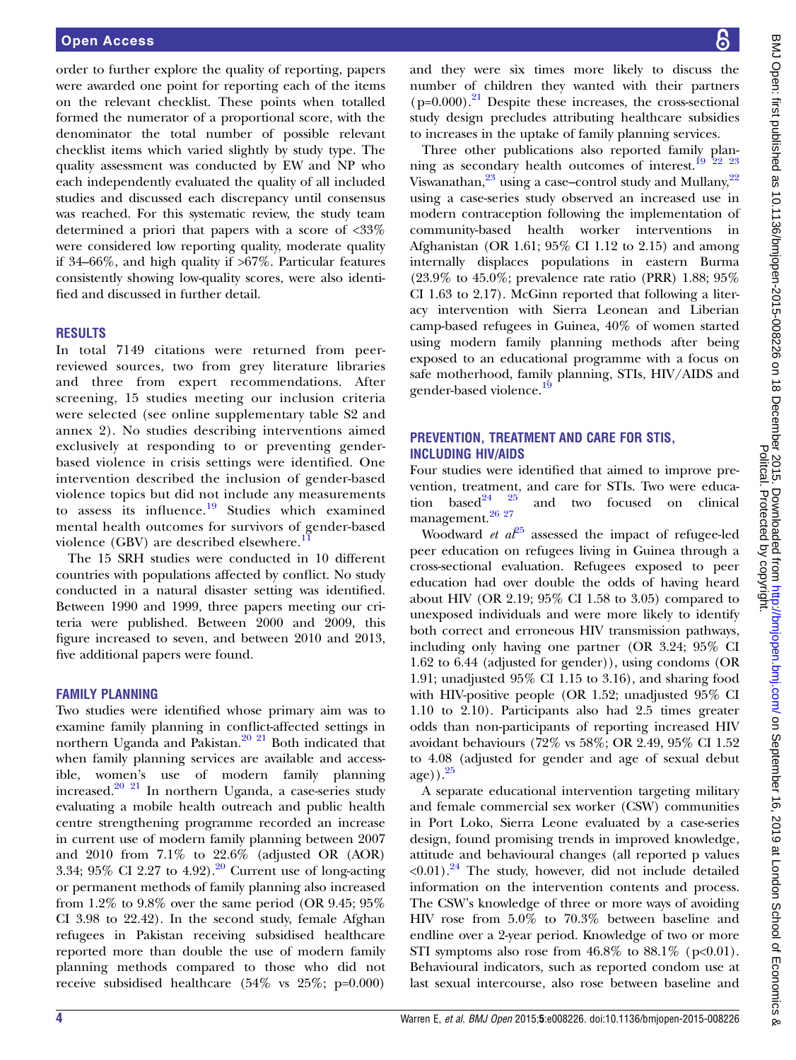order to further explore the quality of reporting, papers were awarded one point for reporting each of the items on the relevant checklist. These points when totalled formed the numerator of a proportional score, with the denominator the total number of possible relevant checklist items which varied slightly by study type. The quality assessment was conducted by EW and NP who each independently evaluated the quality of all included studies and discussed each discrepancy until consensus was reached. For this systematic review, the study team determined a priori that papers with a score of <33% were considered low reporting quality, moderate quality if 34–66%, and high quality if >67%. Particular features consistently showing low-quality scores, were also identified and discussed in further detail.

## **RESULTS**

In total 7149 citations were returned from peerreviewed sources, two from grey literature libraries and three from expert recommendations. After screening, 15 studies meeting our inclusion criteria were selected ([see online supplementary table S2 and](http://bmjopen.bmj.com/lookup/suppl/doi:10.1136/bmjopen-2015-008226/-/DC1) [annex](http://bmjopen.bmj.com/lookup/suppl/doi:10.1136/bmjopen-2015-008226/-/DC1) 2). No studies describing interventions aimed exclusively at responding to or preventing genderbased violence in crisis settings were identified. One intervention described the inclusion of gender-based violence topics but did not include any measurements to assess its influence.<sup>[19](#page-8-0)</sup> Studies which examined mental health outcomes for survivors of gender-based violence (GBV) are described elsewhere. $^{11}$  $^{11}$  $^{11}$ 

The 15 SRH studies were conducted in 10 different countries with populations affected by conflict. No study conducted in a natural disaster setting was identified. Between 1990 and 1999, three papers meeting our criteria were published. Between 2000 and 2009, this figure increased to seven, and between 2010 and 2013, five additional papers were found.

#### FAMILY PLANNING

Two studies were identified whose primary aim was to examine family planning in conflict-affected settings in northern Uganda and Pakistan. $20 \times 21$  Both indicated that when family planning services are available and accessible, women's use of modern family planning increased. $20\frac{21}{1}$  In northern Uganda, a case-series study evaluating a mobile health outreach and public health centre strengthening programme recorded an increase in current use of modern family planning between 2007 and 2010 from 7.1% to 22.6% (adjusted OR (AOR) 3.34; 95% CI 2.27 to 4.92).<sup>[20](#page-8-0)</sup> Current use of long-acting or permanent methods of family planning also increased from 1.2% to 9.8% over the same period (OR 9.45; 95% CI 3.98 to 22.42). In the second study, female Afghan refugees in Pakistan receiving subsidised healthcare reported more than double the use of modern family planning methods compared to those who did not receive subsidised healthcare (54% vs 25%; p=0.000)

and they were six times more likely to discuss the number of children they wanted with their partners  $(p=0.000)$ .<sup>[21](#page-8-0)</sup> Despite these increases, the cross-sectional study design precludes attributing healthcare subsidies to increases in the uptake of family planning services.

Three other publications also reported family planning as secondary health outcomes of interest.<sup>19</sup> <sup>22</sup> <sup>23</sup> Viswanathan, $^{23}$  $^{23}$  $^{23}$  using a case–control study and Mullany, $^{22}$  $^{22}$  $^{22}$ using a case-series study observed an increased use in modern contraception following the implementation of community-based health worker interventions in Afghanistan (OR 1.61; 95% CI 1.12 to 2.15) and among internally displaces populations in eastern Burma (23.9% to 45.0%; prevalence rate ratio (PRR) 1.88; 95% CI 1.63 to 2.17). McGinn reported that following a literacy intervention with Sierra Leonean and Liberian camp-based refugees in Guinea, 40% of women started using modern family planning methods after being exposed to an educational programme with a focus on safe motherhood, family planning, STIs, HIV/AIDS and gender-based violence.<sup>[19](#page-8-0)</sup>

# PREVENTION, TREATMENT AND CARE FOR STIS, INCLUDING HIV/AIDS

Four studies were identified that aimed to improve prevention, treatment, and care for STIs. Two were educa-<br>tion  $\frac{\text{based}^{24}}{25}$  and two focused on clinical and two focused on clinical management.<sup>26</sup><sup>27</sup>

Woodward *et al*<sup>[25](#page-8-0)</sup> assessed the impact of refugee-led peer education on refugees living in Guinea through a cross-sectional evaluation. Refugees exposed to peer education had over double the odds of having heard about HIV (OR 2.19; 95% CI 1.58 to 3.05) compared to unexposed individuals and were more likely to identify both correct and erroneous HIV transmission pathways, including only having one partner (OR 3.24; 95% CI 1.62 to 6.44 (adjusted for gender)), using condoms (OR 1.91; unadjusted 95% CI 1.15 to 3.16), and sharing food with HIV-positive people (OR 1.52; unadjusted 95% CI 1.10 to 2.10). Participants also had 2.5 times greater odds than non-participants of reporting increased HIV avoidant behaviours (72% vs 58%; OR 2.49, 95% CI 1.52 to 4.08 (adjusted for gender and age of sexual debut  $age)$ ).<sup>25</sup>

A separate educational intervention targeting military and female commercial sex worker (CSW) communities in Port Loko, Sierra Leone evaluated by a case-series design, found promising trends in improved knowledge, attitude and behavioural changes (all reported p values  $(0.01)$ .<sup>[24](#page-8-0)</sup> The study, however, did not include detailed information on the intervention contents and process. The CSW's knowledge of three or more ways of avoiding HIV rose from 5.0% to 70.3% between baseline and endline over a 2-year period. Knowledge of two or more STI symptoms also rose from  $46.8\%$  to  $88.1\%$  (p<0.01). Behavioural indicators, such as reported condom use at last sexual intercourse, also rose between baseline and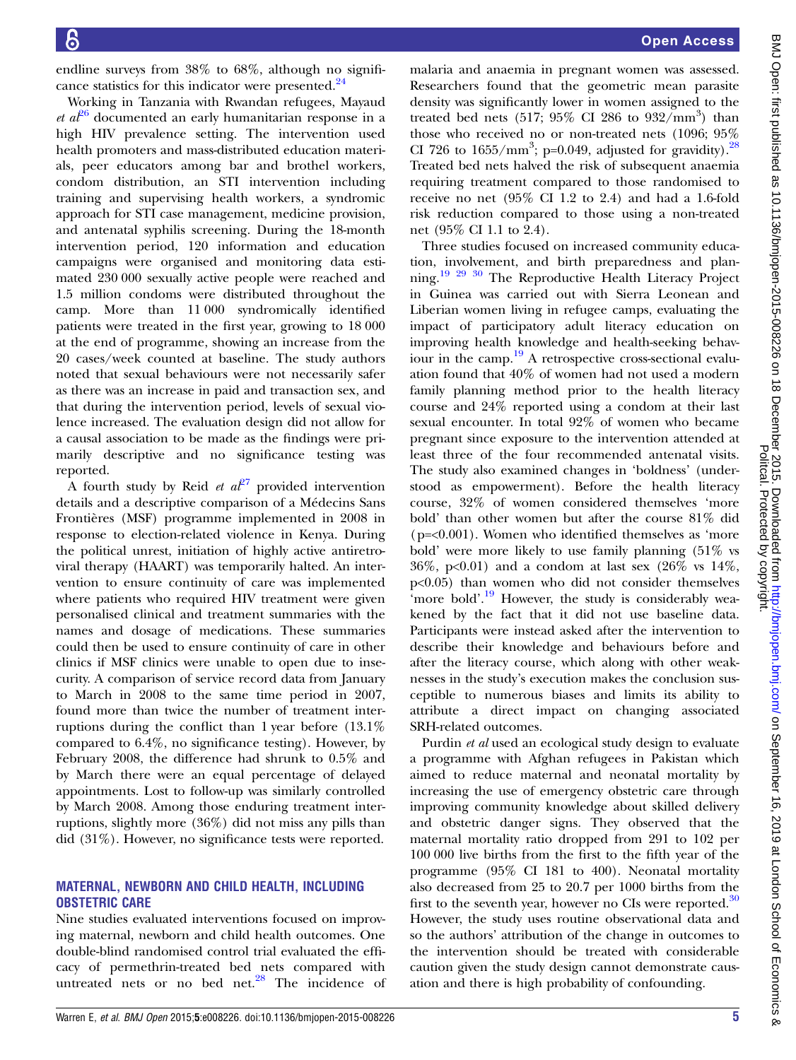endline surveys from 38% to 68%, although no signifi-cance statistics for this indicator were presented.<sup>[24](#page-8-0)</sup>

Working in Tanzania with Rwandan refugees, Mayaud *et a*<sup> $26$ </sup> documented an early humanitarian response in a high HIV prevalence setting. The intervention used health promoters and mass-distributed education materials, peer educators among bar and brothel workers, condom distribution, an STI intervention including training and supervising health workers, a syndromic approach for STI case management, medicine provision, and antenatal syphilis screening. During the 18-month intervention period, 120 information and education campaigns were organised and monitoring data estimated 230 000 sexually active people were reached and 1.5 million condoms were distributed throughout the camp. More than 11 000 syndromically identified patients were treated in the first year, growing to 18 000 at the end of programme, showing an increase from the 20 cases/week counted at baseline. The study authors noted that sexual behaviours were not necessarily safer as there was an increase in paid and transaction sex, and that during the intervention period, levels of sexual violence increased. The evaluation design did not allow for a causal association to be made as the findings were primarily descriptive and no significance testing was reported.

A fourth study by Reid et  $a\ell^{27}$  $a\ell^{27}$  $a\ell^{27}$  provided intervention details and a descriptive comparison of a Médecins Sans Frontières (MSF) programme implemented in 2008 in response to election-related violence in Kenya. During the political unrest, initiation of highly active antiretroviral therapy (HAART) was temporarily halted. An intervention to ensure continuity of care was implemented where patients who required HIV treatment were given personalised clinical and treatment summaries with the names and dosage of medications. These summaries could then be used to ensure continuity of care in other clinics if MSF clinics were unable to open due to insecurity. A comparison of service record data from January to March in 2008 to the same time period in 2007, found more than twice the number of treatment interruptions during the conflict than 1 year before (13.1% compared to 6.4%, no significance testing). However, by February 2008, the difference had shrunk to 0.5% and by March there were an equal percentage of delayed appointments. Lost to follow-up was similarly controlled by March 2008. Among those enduring treatment interruptions, slightly more (36%) did not miss any pills than did (31%). However, no significance tests were reported.

# MATERNAL, NEWBORN AND CHILD HEALTH, INCLUDING OBSTETRIC CARE

Nine studies evaluated interventions focused on improving maternal, newborn and child health outcomes. One double-blind randomised control trial evaluated the efficacy of permethrin-treated bed nets compared with untreated nets or no bed net. $28$  The incidence of malaria and anaemia in pregnant women was assessed. Researchers found that the geometric mean parasite density was significantly lower in women assigned to the treated bed nets (517;  $95\%$  CI 286 to  $932/mm^3$ ) than those who received no or non-treated nets (1096; 95% CI 726 to  $1655/\text{mm}^3$ ; p=0.049, adjusted for gravidity).<sup>[28](#page-8-0)</sup> Treated bed nets halved the risk of subsequent anaemia requiring treatment compared to those randomised to receive no net (95% CI 1.2 to 2.4) and had a 1.6-fold risk reduction compared to those using a non-treated net (95% CI 1.1 to 2.4).

Three studies focused on increased community education, involvement, and birth preparedness and plan-ning.<sup>[19 29 30](#page-8-0)</sup> The Reproductive Health Literacy Project in Guinea was carried out with Sierra Leonean and Liberian women living in refugee camps, evaluating the impact of participatory adult literacy education on improving health knowledge and health-seeking behaviour in the camp. $^{19}$  $^{19}$  $^{19}$  A retrospective cross-sectional evaluation found that 40% of women had not used a modern family planning method prior to the health literacy course and 24% reported using a condom at their last sexual encounter. In total 92% of women who became pregnant since exposure to the intervention attended at least three of the four recommended antenatal visits. The study also examined changes in 'boldness' (understood as empowerment). Before the health literacy course, 32% of women considered themselves 'more bold' than other women but after the course 81% did (p=<0.001). Women who identified themselves as 'more bold' were more likely to use family planning (51% vs  $36\%$ , p<0.01) and a condom at last sex (26% vs 14%, p<0.05) than women who did not consider themselves 'more bold'.<sup>[19](#page-8-0)</sup> However, the study is considerably weakened by the fact that it did not use baseline data. Participants were instead asked after the intervention to describe their knowledge and behaviours before and after the literacy course, which along with other weaknesses in the study's execution makes the conclusion susceptible to numerous biases and limits its ability to attribute a direct impact on changing associated SRH-related outcomes.

Purdin et al used an ecological study design to evaluate a programme with Afghan refugees in Pakistan which aimed to reduce maternal and neonatal mortality by increasing the use of emergency obstetric care through improving community knowledge about skilled delivery and obstetric danger signs. They observed that the maternal mortality ratio dropped from 291 to 102 per 100 000 live births from the first to the fifth year of the programme (95% CI 181 to 400). Neonatal mortality also decreased from 25 to 20.7 per 1000 births from the first to the seventh year, however no CIs were reported.<sup>[30](#page-8-0)</sup> However, the study uses routine observational data and so the authors' attribution of the change in outcomes to the intervention should be treated with considerable caution given the study design cannot demonstrate causation and there is high probability of confounding.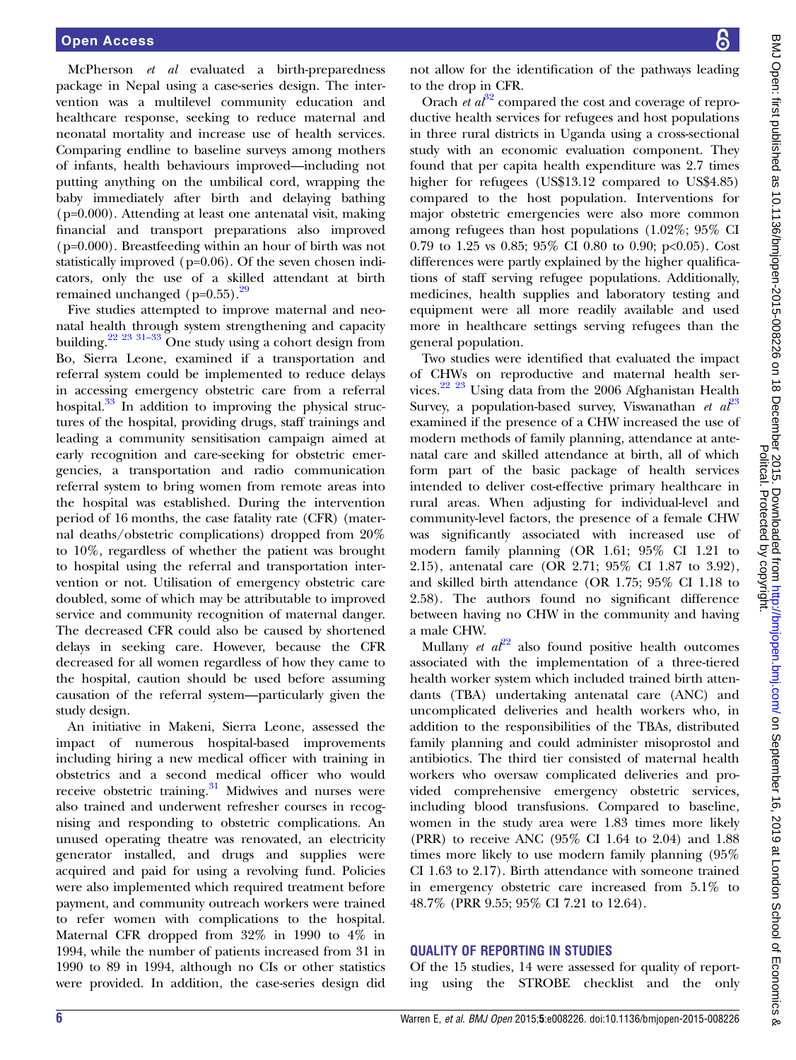McPherson et al evaluated a birth-preparedness package in Nepal using a case-series design. The intervention was a multilevel community education and healthcare response, seeking to reduce maternal and neonatal mortality and increase use of health services. Comparing endline to baseline surveys among mothers of infants, health behaviours improved—including not putting anything on the umbilical cord, wrapping the baby immediately after birth and delaying bathing (p=0.000). Attending at least one antenatal visit, making financial and transport preparations also improved (p=0.000). Breastfeeding within an hour of birth was not statistically improved (p=0.06). Of the seven chosen indicators, only the use of a skilled attendant at birth remained unchanged ( $p=0.55$ ).<sup>[29](#page-8-0)</sup>

Five studies attempted to improve maternal and neonatal health through system strengthening and capacity building.<sup>[22 23](#page-8-0) 31–[33](#page-8-0)</sup> One study using a cohort design from Bo, Sierra Leone, examined if a transportation and referral system could be implemented to reduce delays in accessing emergency obstetric care from a referral hospital. $33$  In addition to improving the physical structures of the hospital, providing drugs, staff trainings and leading a community sensitisation campaign aimed at early recognition and care-seeking for obstetric emergencies, a transportation and radio communication referral system to bring women from remote areas into the hospital was established. During the intervention period of 16 months, the case fatality rate (CFR) (maternal deaths/obstetric complications) dropped from 20% to 10%, regardless of whether the patient was brought to hospital using the referral and transportation intervention or not. Utilisation of emergency obstetric care doubled, some of which may be attributable to improved service and community recognition of maternal danger. The decreased CFR could also be caused by shortened delays in seeking care. However, because the CFR decreased for all women regardless of how they came to the hospital, caution should be used before assuming causation of the referral system—particularly given the study design.

An initiative in Makeni, Sierra Leone, assessed the impact of numerous hospital-based improvements including hiring a new medical officer with training in obstetrics and a second medical officer who would receive obstetric training.<sup>[31](#page-8-0)</sup> Midwives and nurses were also trained and underwent refresher courses in recognising and responding to obstetric complications. An unused operating theatre was renovated, an electricity generator installed, and drugs and supplies were acquired and paid for using a revolving fund. Policies were also implemented which required treatment before payment, and community outreach workers were trained to refer women with complications to the hospital. Maternal CFR dropped from 32% in 1990 to 4% in 1994, while the number of patients increased from 31 in 1990 to 89 in 1994, although no CIs or other statistics were provided. In addition, the case-series design did

 $\infty$ 

not allow for the identification of the pathways leading to the drop in CFR.

Orach et  $a\tilde{b}^2$  compared the cost and coverage of reproductive health services for refugees and host populations in three rural districts in Uganda using a cross-sectional study with an economic evaluation component. They found that per capita health expenditure was 2.7 times higher for refugees (US\$13.12 compared to US\$4.85) compared to the host population. Interventions for major obstetric emergencies were also more common among refugees than host populations (1.02%; 95% CI 0.79 to 1.25 vs 0.85; 95% CI 0.80 to 0.90; p<0.05). Cost differences were partly explained by the higher qualifications of staff serving refugee populations. Additionally, medicines, health supplies and laboratory testing and equipment were all more readily available and used more in healthcare settings serving refugees than the general population.

Two studies were identified that evaluated the impact of CHWs on reproductive and maternal health services[.22 23](#page-8-0) Using data from the 2006 Afghanistan Health Survey, a population-based survey, Viswanathan et  $a^{\ell^3}$ examined if the presence of a CHW increased the use of modern methods of family planning, attendance at antenatal care and skilled attendance at birth, all of which form part of the basic package of health services intended to deliver cost-effective primary healthcare in rural areas. When adjusting for individual-level and community-level factors, the presence of a female CHW was significantly associated with increased use of modern family planning (OR 1.61; 95% CI 1.21 to 2.15), antenatal care (OR 2.71; 95% CI 1.87 to 3.92), and skilled birth attendance (OR 1.75; 95% CI 1.18 to 2.58). The authors found no significant difference between having no CHW in the community and having a male CHW.

Mullany et  $a^2$  also found positive health outcomes associated with the implementation of a three-tiered health worker system which included trained birth attendants (TBA) undertaking antenatal care (ANC) and uncomplicated deliveries and health workers who, in addition to the responsibilities of the TBAs, distributed family planning and could administer misoprostol and antibiotics. The third tier consisted of maternal health workers who oversaw complicated deliveries and provided comprehensive emergency obstetric services, including blood transfusions. Compared to baseline, women in the study area were 1.83 times more likely (PRR) to receive ANC (95% CI 1.64 to 2.04) and 1.88 times more likely to use modern family planning (95% CI 1.63 to 2.17). Birth attendance with someone trained in emergency obstetric care increased from 5.1% to 48.7% (PRR 9.55; 95% CI 7.21 to 12.64).

## QUALITY OF REPORTING IN STUDIES

Of the 15 studies, 14 were assessed for quality of reporting using the STROBE checklist and the only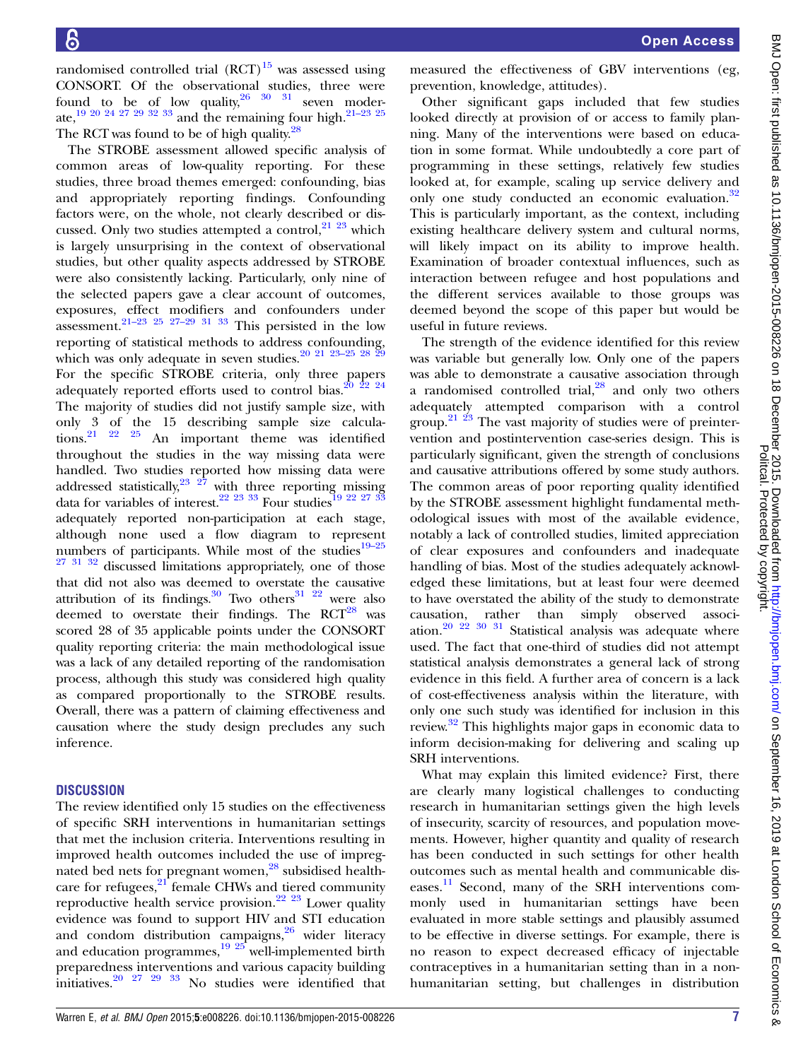randomised controlled trial  $(RCT)^{15}$  $(RCT)^{15}$  $(RCT)^{15}$  was assessed using CONSORT. Of the observational studies, three were found to be of low quality,  $26^{26}$   $30^{31}$  seven moderate,<sup>19 20</sup> <sup>24 27</sup> <sup>29</sup> <sup>32</sup> <sup>33</sup> and the remaining four high.<sup>21–23</sup> <sup>25</sup> The RCT was found to be of high quality.<sup>[28](#page-8-0)</sup>

The STROBE assessment allowed specific analysis of common areas of low-quality reporting. For these studies, three broad themes emerged: confounding, bias and appropriately reporting findings. Confounding factors were, on the whole, not clearly described or discussed. Only two studies attempted a control,  $2^{123}$  which is largely unsurprising in the context of observational studies, but other quality aspects addressed by STROBE were also consistently lacking. Particularly, only nine of the selected papers gave a clear account of outcomes, exposures, effect modifiers and confounders under assessment.<sup>21–23</sup> <sup>25</sup> <sup>27–29</sup> <sup>31</sup> <sup>33</sup> This persisted in the low reporting of statistical methods to address confounding, which was only adequate in seven studies.<sup>20</sup> <sup>21</sup> <sup>23–25</sup> <sup>28</sup> For the specific STROBE criteria, only three papers adequately reported efforts used to control bias. $20^{20}$   $22^{24}$ The majority of studies did not justify sample size, with only 3 of the 15 describing sample size calculations.<sup>21</sup> <sup>22</sup> <sup>25</sup> An important theme was identified throughout the studies in the way missing data were handled. Two studies reported how missing data were addressed statistically,  $23 \frac{27}{7}$  with three reporting missing data for variables of interest.<sup>22 23 33</sup> Four studies<sup>19 22 27 33</sup> adequately reported non-participation at each stage, although none used a flow diagram to represent numbers of participants. While most of the studies $19-25$  $19-25$ <sup>[27 31 32](#page-8-0)</sup> discussed limitations appropriately, one of those that did not also was deemed to overstate the causative attribution of its findings. $30$  Two others $31$   $22$  were also deemed to overstate their findings. The  $RCT^{28}$  was scored 28 of 35 applicable points under the CONSORT quality reporting criteria: the main methodological issue was a lack of any detailed reporting of the randomisation process, although this study was considered high quality as compared proportionally to the STROBE results. Overall, there was a pattern of claiming effectiveness and causation where the study design precludes any such inference.

## **DISCUSSION**

The review identified only 15 studies on the effectiveness of specific SRH interventions in humanitarian settings that met the inclusion criteria. Interventions resulting in improved health outcomes included the use of impreg-nated bed nets for pregnant women,<sup>[28](#page-8-0)</sup> subsidised healthcare for refugees, $21$  female CHWs and tiered community reproductive health service provision.<sup>[22 23](#page-8-0)</sup> Lower quality evidence was found to support HIV and STI education and condom distribution campaigns, $26$  wider literacy and education programmes, $19^{25}$  well-implemented birth preparedness interventions and various capacity building initiatives.<sup>20</sup> <sup>27</sup> <sup>29</sup> <sup>33</sup> No studies were identified that

measured the effectiveness of GBV interventions (eg, prevention, knowledge, attitudes).

Other significant gaps included that few studies looked directly at provision of or access to family planning. Many of the interventions were based on education in some format. While undoubtedly a core part of programming in these settings, relatively few studies looked at, for example, scaling up service delivery and only one study conducted an economic evaluation.<sup>[32](#page-8-0)</sup> This is particularly important, as the context, including existing healthcare delivery system and cultural norms, will likely impact on its ability to improve health. Examination of broader contextual influences, such as interaction between refugee and host populations and the different services available to those groups was deemed beyond the scope of this paper but would be useful in future reviews.

The strength of the evidence identified for this review was variable but generally low. Only one of the papers was able to demonstrate a causative association through a randomised controlled trial, $\frac{28}{3}$  $\frac{28}{3}$  $\frac{28}{3}$  and only two others adequately attempted comparison with a control group.<sup>21  $\frac{23}{123}$ </sup> The vast majority of studies were of preintervention and postintervention case-series design. This is particularly significant, given the strength of conclusions and causative attributions offered by some study authors. The common areas of poor reporting quality identified by the STROBE assessment highlight fundamental methodological issues with most of the available evidence, notably a lack of controlled studies, limited appreciation of clear exposures and confounders and inadequate handling of bias. Most of the studies adequately acknowledged these limitations, but at least four were deemed to have overstated the ability of the study to demonstrate causation, rather than simply observed associatisation,  $20^{22}$   $22^{30}$   $31$  Statistical analysis was adequate where used. The fact that one-third of studies did not attempt statistical analysis demonstrates a general lack of strong evidence in this field. A further area of concern is a lack of cost-effectiveness analysis within the literature, with only one such study was identified for inclusion in this review.<sup>[32](#page-8-0)</sup> This highlights major gaps in economic data to inform decision-making for delivering and scaling up SRH interventions.

What may explain this limited evidence? First, there are clearly many logistical challenges to conducting research in humanitarian settings given the high levels of insecurity, scarcity of resources, and population movements. However, higher quantity and quality of research has been conducted in such settings for other health outcomes such as mental health and communicable dis-eases.<sup>[11](#page-7-0)</sup> Second, many of the SRH interventions commonly used in humanitarian settings have been evaluated in more stable settings and plausibly assumed to be effective in diverse settings. For example, there is no reason to expect decreased efficacy of injectable contraceptives in a humanitarian setting than in a nonhumanitarian setting, but challenges in distribution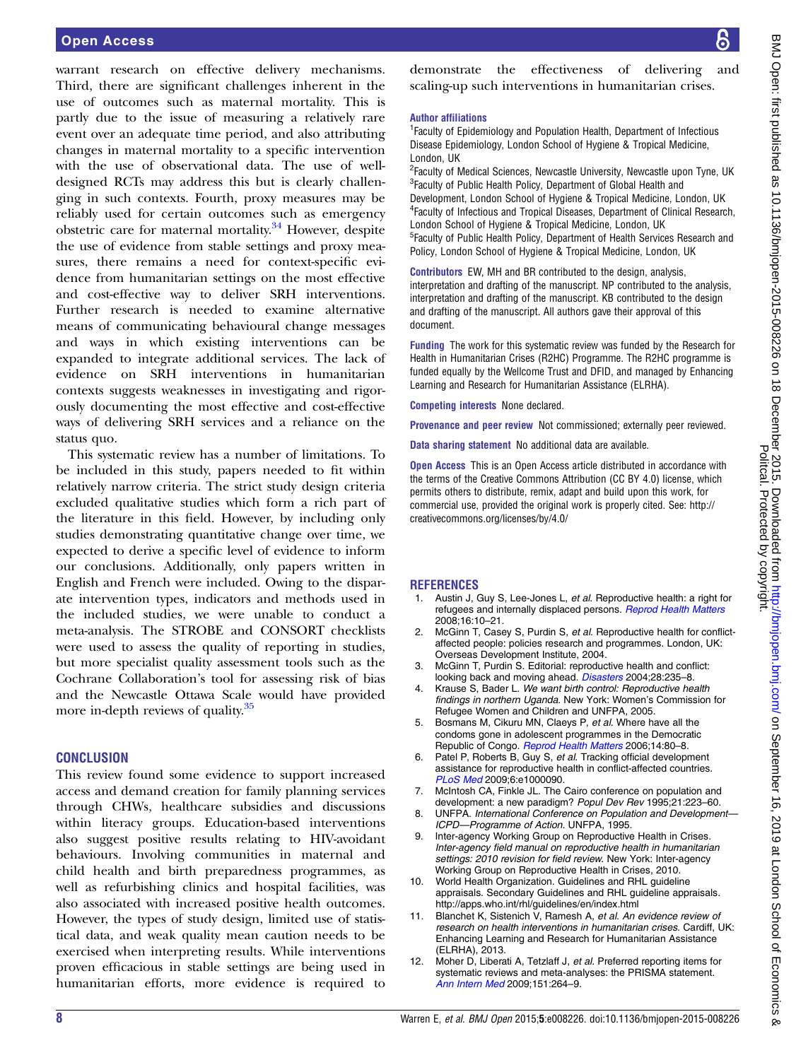<span id="page-7-0"></span>warrant research on effective delivery mechanisms. Third, there are significant challenges inherent in the use of outcomes such as maternal mortality. This is partly due to the issue of measuring a relatively rare event over an adequate time period, and also attributing changes in maternal mortality to a specific intervention with the use of observational data. The use of welldesigned RCTs may address this but is clearly challenging in such contexts. Fourth, proxy measures may be reliably used for certain outcomes such as emergency obstetric care for maternal mortality.<sup>34</sup> However, despite the use of evidence from stable settings and proxy measures, there remains a need for context-specific evidence from humanitarian settings on the most effective and cost-effective way to deliver SRH interventions. Further research is needed to examine alternative means of communicating behavioural change messages and ways in which existing interventions can be expanded to integrate additional services. The lack of evidence on SRH interventions in humanitarian contexts suggests weaknesses in investigating and rigorously documenting the most effective and cost-effective ways of delivering SRH services and a reliance on the status quo.

This systematic review has a number of limitations. To be included in this study, papers needed to fit within relatively narrow criteria. The strict study design criteria excluded qualitative studies which form a rich part of the literature in this field. However, by including only studies demonstrating quantitative change over time, we expected to derive a specific level of evidence to inform our conclusions. Additionally, only papers written in English and French were included. Owing to the disparate intervention types, indicators and methods used in the included studies, we were unable to conduct a meta-analysis. The STROBE and CONSORT checklists were used to assess the quality of reporting in studies, but more specialist quality assessment tools such as the Cochrane Collaboration's tool for assessing risk of bias and the Newcastle Ottawa Scale would have provided more in-depth reviews of quality.<sup>[35](#page-8-0)</sup>

# **CONCLUSION**

This review found some evidence to support increased access and demand creation for family planning services through CHWs, healthcare subsidies and discussions within literacy groups. Education-based interventions also suggest positive results relating to HIV-avoidant behaviours. Involving communities in maternal and child health and birth preparedness programmes, as well as refurbishing clinics and hospital facilities, was also associated with increased positive health outcomes. However, the types of study design, limited use of statistical data, and weak quality mean caution needs to be exercised when interpreting results. While interventions proven efficacious in stable settings are being used in humanitarian efforts, more evidence is required to

BMJ Open: first published as 10.1136/bmjopen-2015-008226 on 18 December 2015. Downloaded from http://bmjopen.bmj.com/ on September 16, 2019 at London School of Economics<br>Politcal. BMJ Open: first published as 10.1136/bmjopen-2015-008226 on 18 December 2015. Downloaded from <http://bmjopen.bmj.com/> an September 16, 2019 at London School of Economics & Politcal. Protected by copyright.

∞

demonstrate the effectiveness of delivering and scaling-up such interventions in humanitarian crises.

#### Author affiliations

<sup>1</sup> Faculty of Epidemiology and Population Health, Department of Infectious Disease Epidemiology, London School of Hygiene & Tropical Medicine, London, UK

<sup>2</sup> Faculty of Medical Sciences, Newcastle University, Newcastle upon Tyne, UK <sup>3</sup> Faculty of Public Health Policy, Department of Global Health and Development, London School of Hygiene & Tropical Medicine, London, UK <sup>4</sup> Faculty of Infectious and Tropical Diseases, Department of Clinical Research, London School of Hygiene & Tropical Medicine, London, UK <sup>5</sup> Faculty of Public Health Policy, Department of Health Services Research and Policy, London School of Hygiene & Tropical Medicine, London, UK

Contributors EW, MH and BR contributed to the design, analysis, interpretation and drafting of the manuscript. NP contributed to the analysis, interpretation and drafting of the manuscript. KB contributed to the design and drafting of the manuscript. All authors gave their approval of this document.

Funding The work for this systematic review was funded by the Research for Health in Humanitarian Crises (R2HC) Programme. The R2HC programme is funded equally by the Wellcome Trust and DFID, and managed by Enhancing Learning and Research for Humanitarian Assistance (ELRHA).

Competing interests None declared.

Provenance and peer review Not commissioned; externally peer reviewed.

Data sharing statement No additional data are available.

Open Access This is an Open Access article distributed in accordance with the terms of the Creative Commons Attribution (CC BY 4.0) license, which permits others to distribute, remix, adapt and build upon this work, for commercial use, provided the original work is properly cited. See: [http://](http://creativecommons.org/licenses/by/4.0/) [creativecommons.org/licenses/by/4.0/](http://creativecommons.org/licenses/by/4.0/)

## REFERENCES

- 1. Austin J, Guy S, Lee-Jones L, et al. Reproductive health: a right for refugees and internally displaced persons. [Reprod Health Matters](http://dx.doi.org/10.1016/S0968-8080(08)31351-2) 2008;16:10–21.
- McGinn T, Casey S, Purdin S, et al. Reproductive health for conflictaffected people: policies research and programmes. London, UK: Overseas Development Institute, 2004.
- 3. McGinn T, Purdin S. Editorial: reproductive health and conflict: looking back and moving ahead. [Disasters](http://dx.doi.org/10.1111/j.0361-3666.2004.00255.x) 2004;28:235-8.
- 4. Krause S, Bader L. We want birth control: Reproductive health findings in northern Uganda. New York: Women's Commission for Refugee Women and Children and UNFPA, 2005.
- 5. Bosmans M, Cikuru MN, Claeys P, et al. Where have all the condoms gone in adolescent programmes in the Democratic Republic of Congo. [Reprod Health Matters](http://dx.doi.org/10.1016/S0968-8080(06)28258-2) 2006;14:80-8.
- 6. Patel P, Roberts B, Guy S, et al. Tracking official development assistance for reproductive health in conflict-affected countries. [PLoS Med](http://dx.doi.org/10.1371/journal.pmed.1000090) 2009;6:e1000090.
- 7. McIntosh CA, Finkle JL. The Cairo conference on population and development: a new paradigm? Popul Dev Rev 1995;21:223–60.
- 8. UNFPA, International Conference on Population and Development-ICPD—Programme of Action. UNFPA, 1995.
- 9. Inter-agency Working Group on Reproductive Health in Crises. Inter-agency field manual on reproductive health in humanitarian settings: 2010 revision for field review. New York: Inter-agency Working Group on Reproductive Health in Crises, 2010.
- 10. World Health Organization. Guidelines and RHL guideline appraisals. Secondary Guidelines and RHL guideline appraisals. <http://apps.who.int/rhl/guidelines/en/index.html>
- 11. Blanchet K, Sistenich V, Ramesh A, et al. An evidence review of research on health interventions in humanitarian crises. Cardiff, UK: Enhancing Learning and Research for Humanitarian Assistance (ELRHA), 2013.
- 12. Moher D, Liberati A, Tetzlaff J, et al. Preferred reporting items for systematic reviews and meta-analyses: the PRISMA statement. [Ann Intern Med](http://dx.doi.org/10.7326/0003-4819-151-4-200908180-00135) 2009;151:264–9.